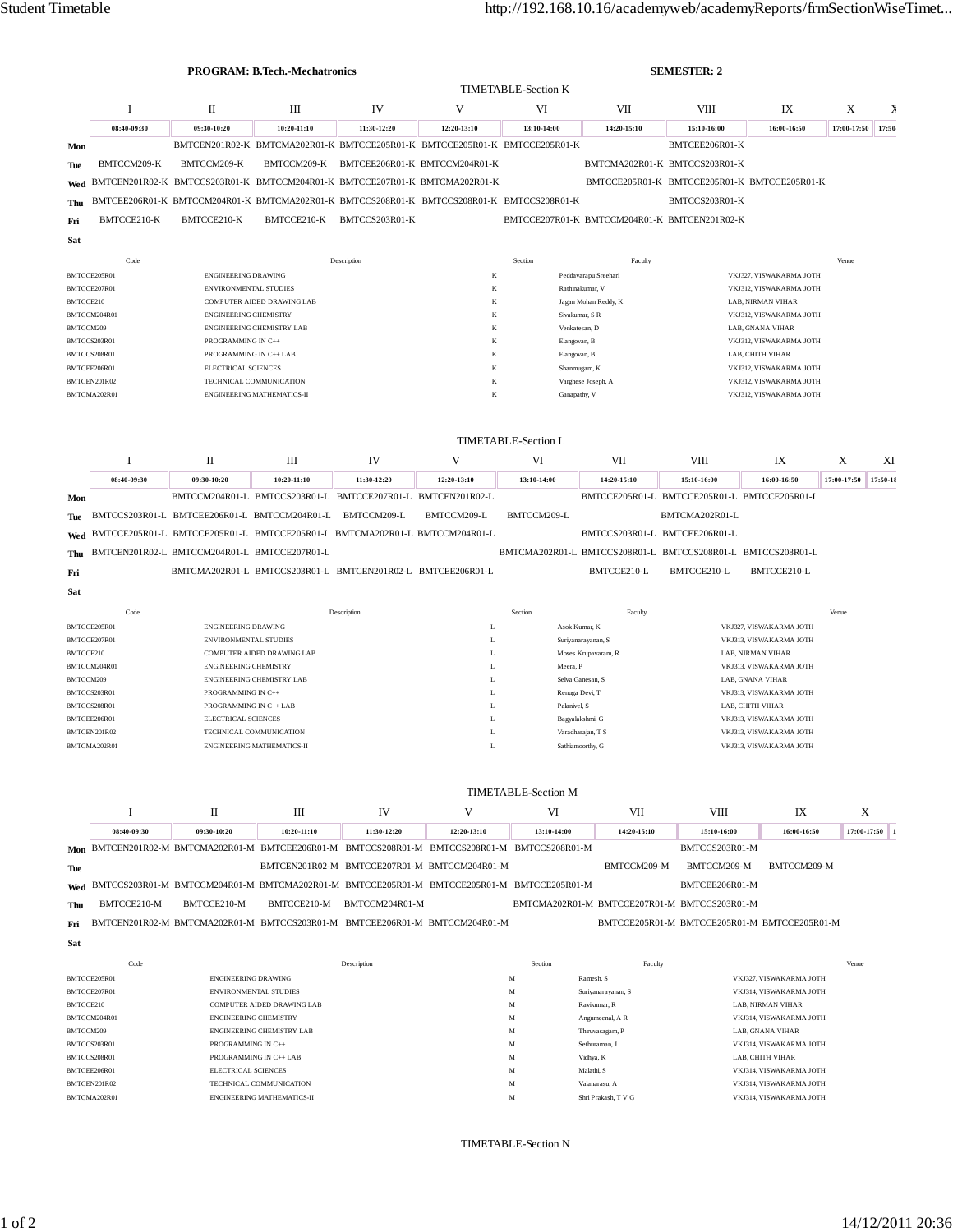|                                                    |                              |                                                                                               | <b>PROGRAM: B.Tech.-Mechatronics</b>                                       |                |                                              |                                                             |                                              | <b>SEMESTER: 2</b>                          |                                                    |                      |       |
|----------------------------------------------------|------------------------------|-----------------------------------------------------------------------------------------------|----------------------------------------------------------------------------|----------------|----------------------------------------------|-------------------------------------------------------------|----------------------------------------------|---------------------------------------------|----------------------------------------------------|----------------------|-------|
|                                                    |                              |                                                                                               |                                                                            |                | <b>TIMETABLE-Section K</b>                   |                                                             |                                              |                                             |                                                    |                      |       |
|                                                    | I                            | П                                                                                             | Ш                                                                          | IV             | V                                            | VI                                                          | VII                                          | VIII                                        | IX                                                 | X                    |       |
|                                                    | 08:40-09:30                  | 09:30-10:20                                                                                   | 10:20-11:10                                                                | 11:30-12:20    | 12:20-13:10                                  | 13:10-14:00                                                 | 14:20-15:10                                  | 15:10-16:00                                 | 16:00-16:50                                        | 17:00-17:50          | 17:50 |
| Mon                                                |                              |                                                                                               | BMTCEN201R02-K BMTCMA202R01-K BMTCCE205R01-K BMTCCE205R01-K BMTCCE205R01-K |                |                                              |                                                             |                                              | BMTCEE206R01-K                              |                                                    |                      |       |
| Tue                                                | BMTCCM209-K                  | BMTCCM209-K                                                                                   | BMTCCM209-K                                                                |                | BMTCEE206R01-K BMTCCM204R01-K                |                                                             | BMTCMA202R01-K BMTCCS203R01-K                |                                             |                                                    |                      |       |
| Wed                                                |                              | BMTCEN201R02-K BMTCCS203R01-K BMTCCM204R01-K BMTCCE207R01-K BMTCMA202R01-K                    |                                                                            |                |                                              |                                                             |                                              |                                             | BMTCCE205R01-K BMTCCE205R01-K BMTCCE205R01-K       |                      |       |
| Thu                                                |                              | BMTCEE206R01-K BMTCCM204R01-K BMTCMA202R01-K BMTCCS208R01-K BMTCCS208R01-K BMTCCS208R01-K     |                                                                            |                |                                              |                                                             |                                              | BMTCCS203R01-K                              |                                                    |                      |       |
|                                                    | BMTCCE210-K                  | BMTCCE210-K                                                                                   | BMTCCE210-K                                                                | BMTCCS203R01-K |                                              | BMTCCE207R01-K BMTCCM204R01-K BMTCEN201R02-K                |                                              |                                             |                                                    |                      |       |
| Fri                                                |                              |                                                                                               |                                                                            |                |                                              |                                                             |                                              |                                             |                                                    |                      |       |
| Sat                                                |                              |                                                                                               |                                                                            |                |                                              |                                                             |                                              |                                             |                                                    |                      |       |
|                                                    | Code                         |                                                                                               |                                                                            | Description    |                                              | Section                                                     | Faculty                                      |                                             |                                                    | Venue                |       |
| BMTCCE205R01                                       |                              | <b>ENGINEERING DRAWING</b>                                                                    |                                                                            |                | K                                            |                                                             | Peddavarapu Sreehari                         |                                             | VKJ327, VISWAKARMA JOTH                            |                      |       |
| BMTCCE207R01<br>BMTCCE210                          |                              | <b>ENVIRONMENTAL STUDIES</b><br>COMPUTER AIDED DRAWING LAB                                    |                                                                            |                | $_{\rm K}$<br>K                              |                                                             | Rathinakumar, V<br>Jagan Mohan Reddy, K      |                                             | VKJ312, VISWAKARMA JOTH<br>LAB, NIRMAN VIHAR       |                      |       |
| BMTCCM204R01                                       |                              | <b>ENGINEERING CHEMISTRY</b>                                                                  |                                                                            |                | K                                            | Sivakumar, S R                                              |                                              | VKJ312, VISWAKARMA JOTH                     |                                                    |                      |       |
| BMTCCM209                                          |                              |                                                                                               | ENGINEERING CHEMISTRY LAB                                                  |                | K                                            | Venkatesan, D                                               |                                              |                                             | LAB, GNANA VIHAR                                   |                      |       |
|                                                    | BMTCCS203R01                 | PROGRAMMING IN C++                                                                            |                                                                            |                | K                                            | Elangovan, B                                                | VKJ312, VISWAKARMA JOTH                      |                                             |                                                    |                      |       |
|                                                    | BMTCCS208R01                 | PROGRAMMING IN C++ LAB                                                                        |                                                                            |                | K<br>$_{\rm K}$                              | Elangovan, B                                                |                                              |                                             | LAB, CHITH VIHAR<br>VKJ312. VISWAKARMA JOTH        |                      |       |
|                                                    | BMTCEE206R01<br>BMTCEN201R02 | <b>ELECTRICAL SCIENCES</b><br>TECHNICAL COMMUNICATION                                         |                                                                            |                | K                                            | Shanmugam, K<br>Varghese Joseph, A                          |                                              |                                             | VKJ312, VISWAKARMA JOTH                            |                      |       |
|                                                    | BMTCMA202R01                 |                                                                                               | <b>ENGINEERING MATHEMATICS-II</b>                                          |                | K                                            | Ganapathy, V                                                |                                              |                                             | VKJ312, VISWAKARMA JOTH                            |                      |       |
|                                                    |                              |                                                                                               |                                                                            |                |                                              |                                                             |                                              |                                             |                                                    |                      |       |
|                                                    |                              |                                                                                               |                                                                            |                |                                              | <b>TIMETABLE-Section L</b>                                  |                                              |                                             |                                                    |                      |       |
|                                                    | Ι.                           | П                                                                                             | Ш                                                                          | IV             | V                                            | VI                                                          | VII                                          | <b>VIII</b>                                 | IX                                                 | X                    | XI    |
|                                                    | 08:40-09:30                  | 09:30-10:20                                                                                   | $10:20 - 11:10$                                                            | 11:30-12:20    | 12:20-13:10                                  | 13:10-14:00                                                 | 14:20-15:10                                  | 15:10-16:00                                 | 16:00-16:50                                        | 17:00-17:50 17:50-18 |       |
| Mon                                                |                              | BMTCCM204R01-L BMTCCS203R01-L BMTCCE207R01-L BMTCEN201R02-L                                   |                                                                            |                |                                              |                                                             | BMTCCE205R01-L BMTCCE205R01-L BMTCCE205R01-L |                                             |                                                    |                      |       |
| Tue                                                |                              | BMTCCS203R01-L BMTCEE206R01-L BMTCCM204R01-L BMTCCM209-L                                      |                                                                            |                | BMTCCM209-L                                  | BMTCCM209-L                                                 |                                              | BMTCMA202R01-L                              |                                                    |                      |       |
|                                                    |                              | Wed BMTCCE205R01-L BMTCCE205R01-L BMTCCE205R01-L BMTCMA202R01-L BMTCCM204R01-L                |                                                                            |                |                                              |                                                             | BMTCCS203R01-L BMTCEE206R01-L                |                                             |                                                    |                      |       |
|                                                    |                              |                                                                                               |                                                                            |                |                                              |                                                             |                                              |                                             |                                                    |                      |       |
| Thu                                                |                              | BMTCEN201R02-L BMTCCM204R01-L BMTCCE207R01-L                                                  |                                                                            |                |                                              | BMTCMA202R01-L BMTCCS208R01-L BMTCCS208R01-L BMTCCS208R01-L |                                              |                                             |                                                    |                      |       |
| Fri                                                |                              | BMTCMA202R01-L BMTCCS203R01-L BMTCEN201R02-L BMTCEE206R01-L                                   |                                                                            |                |                                              |                                                             | BMTCCE210-L                                  | BMTCCE210-L                                 | BMTCCE210-L                                        |                      |       |
| Sat                                                |                              |                                                                                               |                                                                            |                |                                              |                                                             |                                              |                                             |                                                    |                      |       |
|                                                    | Code                         |                                                                                               |                                                                            | Description    |                                              | Section                                                     | Faculty                                      |                                             |                                                    | Venue                |       |
|                                                    | BMTCCE205R01                 | <b>ENGINEERING DRAWING</b>                                                                    |                                                                            |                | $\mathbf L$                                  | Asok Kumar, K                                               |                                              |                                             | VKJ327, VISWAKARMA JOTH                            |                      |       |
| BMTCCE207R01                                       |                              | ENVIRONMENTAL STUDIES                                                                         |                                                                            | L              | Suriyanarayanan, S                           |                                                             |                                              | VKJ313, VISWAKARMA JOTH                     |                                                    |                      |       |
| BMTCCE210                                          |                              |                                                                                               | COMPUTER AIDED DRAWING LAB                                                 |                | L<br>L                                       | Moses Krupavaram, R<br>Meera, P                             |                                              |                                             | LAB, NIRMAN VIHAR                                  |                      |       |
|                                                    | BMTCCM204R01                 | <b>ENGINEERING CHEMISTRY</b><br>ENGINEERING CHEMISTRY LAB                                     |                                                                            |                |                                              | Selva Ganesan, S                                            |                                              | VKJ313, VISWAKARMA JOTH<br>LAB, GNANA VIHAR |                                                    |                      |       |
| BMTCCM209<br>BMTCCS203R01                          |                              |                                                                                               |                                                                            |                | L                                            |                                                             |                                              |                                             |                                                    |                      |       |
|                                                    |                              | PROGRAMMING IN C++                                                                            |                                                                            |                | L                                            | Renuga Devi, T                                              |                                              |                                             | VKJ313, VISWAKARMA JOTH                            |                      |       |
|                                                    | BMTCCS208R01                 | PROGRAMMING IN C++ LAB                                                                        |                                                                            |                | L                                            | Palanivel, S                                                |                                              |                                             | LAB, CHITH VIHAR                                   |                      |       |
|                                                    | BMTCEE206R01                 | ELECTRICAL SCIENCES                                                                           |                                                                            |                | L                                            | Bagyalakshmi, G                                             |                                              |                                             | VKJ313, VISWAKARMA JOTH                            |                      |       |
|                                                    | BMTCEN201R02                 | TECHNICAL COMMUNICATION                                                                       |                                                                            |                | L                                            | Varadharajan, T S                                           |                                              |                                             | VKJ313, VISWAKARMA JOTH                            |                      |       |
|                                                    | BMTCMA202R01                 |                                                                                               | ENGINEERING MATHEMATICS-II                                                 |                | L                                            | Sathiamoorthy, G                                            |                                              |                                             | VKJ313, VISWAKARMA JOTH                            |                      |       |
|                                                    |                              |                                                                                               |                                                                            |                |                                              | <b>TIMETABLE-Section M</b>                                  |                                              |                                             |                                                    |                      |       |
|                                                    | 1                            | П                                                                                             | Ш                                                                          | IV             | V                                            | VI                                                          | VII                                          | <b>VIII</b>                                 | IX                                                 | X                    |       |
|                                                    | 08:40-09:30                  | 09:30-10:20                                                                                   | 10:20-11:10                                                                | 11:30-12:20    | 12:20-13:10                                  | 13:10-14:00                                                 | 14:20-15:10                                  | 15:10-16:00                                 | 16:00-16:50                                        | 17:00-17:50          |       |
|                                                    |                              | Mon BMTCEN201R02-M BMTCMA202R01-M BMTCEE206R01-M BMTCCS208R01-M BMTCCS208R01-M BMTCCS208R01-M |                                                                            |                |                                              |                                                             |                                              | BMTCCS203R01-M                              |                                                    |                      |       |
|                                                    |                              |                                                                                               |                                                                            |                | BMTCEN201R02-M BMTCCE207R01-M BMTCCM204R01-M |                                                             | BMTCCM209-M                                  | BMTCCM209-M                                 | BMTCCM209-M                                        |                      |       |
|                                                    |                              | Wed BMTCCS203R01-M BMTCCM204R01-M BMTCMA202R01-M BMTCCE205R01-M BMTCCE205R01-M BMTCCE205R01-M |                                                                            |                |                                              |                                                             |                                              | BMTCEE206R01-M                              |                                                    |                      |       |
|                                                    | BMTCCE210-M                  | BMTCCE210-M                                                                                   | BMTCCE210-M                                                                | BMTCCM204R01-M |                                              |                                                             | BMTCMA202R01-M BMTCCE207R01-M BMTCCS203R01-M |                                             |                                                    |                      |       |
|                                                    |                              | BMTCEN201R02-M BMTCMA202R01-M BMTCCS203R01-M BMTCEE206R01-M BMTCCM204R01-M                    |                                                                            |                |                                              |                                                             |                                              |                                             | BMTCCE205R01-M BMTCCE205R01-M BMTCCE205R01-M       |                      |       |
|                                                    |                              |                                                                                               |                                                                            |                |                                              |                                                             |                                              |                                             |                                                    |                      |       |
|                                                    | Code                         |                                                                                               |                                                                            | Description    |                                              | Section                                                     | Faculty                                      |                                             |                                                    | Venue                |       |
|                                                    | BMTCCE205R01                 | <b>ENGINEERING DRAWING</b>                                                                    |                                                                            |                |                                              | $_{\rm M}$                                                  | Ramesh, S                                    |                                             | VKJ327, VISWAKARMA JOTH                            |                      |       |
|                                                    | BMTCCE207R01                 | ENVIRONMENTAL STUDIES                                                                         |                                                                            |                |                                              | M                                                           | Suriyanarayanan, S                           |                                             | VKJ314, VISWAKARMA JOTH                            |                      |       |
|                                                    |                              |                                                                                               | COMPUTER AIDED DRAWING LAB                                                 |                |                                              | M                                                           | Ravikumar, R                                 |                                             | LAB, NIRMAN VIHAR                                  |                      |       |
|                                                    | BMTCCM204R01                 | <b>ENGINEERING CHEMISTRY</b>                                                                  |                                                                            |                |                                              | M                                                           | Angumeenal, A R                              |                                             | VKJ314, VISWAKARMA JOTH                            |                      |       |
|                                                    | BMTCCS203R01                 | PROGRAMMING IN C++                                                                            | ENGINEERING CHEMISTRY LAB                                                  |                |                                              | M<br>M                                                      | Thiruvasagam, P<br>Sethuraman, J             |                                             | LAB, GNANA VIHAR<br>VKJ314, VISWAKARMA JOTH        |                      |       |
|                                                    | BMTCCS208R01                 |                                                                                               | PROGRAMMING IN C++ LAB                                                     |                |                                              | M                                                           | Vidhya, K                                    |                                             | LAB, CHITH VIHAR                                   |                      |       |
| Tue<br>Thu<br>Fri<br>Sat<br>BMTCCE210<br>BMTCCM209 | BMTCEE206R01                 | <b>ELECTRICAL SCIENCES</b>                                                                    |                                                                            |                |                                              | M                                                           | Malathi, S                                   |                                             | VKJ314, VISWAKARMA JOTH                            |                      |       |
|                                                    | BMTCEN201R02<br>BMTCMA202R01 |                                                                                               | TECHNICAL COMMUNICATION<br>ENGINEERING MATHEMATICS-II                      |                |                                              | M<br>M                                                      | Valanarasu, A<br>Shri Prakash, T V G         |                                             | VKJ314, VISWAKARMA JOTH<br>VKJ314, VISWAKARMA JOTH |                      |       |